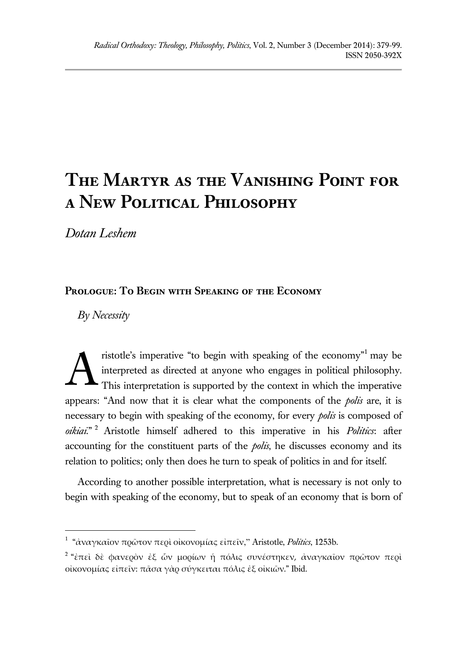# **The Martyr as the Vanishing Point for a New Political Philosophy**

*Dotan Leshem*

# **Prologue: To Begin with Speaking of the Economy**

*By Necessity*

 $\overline{a}$ 

ristotle's imperative "to begin with speaking of the economy"<sup>1</sup> may be interpreted as directed at anyone who engages in political philosophy. This interpretation is supported by the context in which the imperative appears: "And now that it is clear what the components of the *polis* are, it is necessary to begin with speaking of the economy, for every *polis* is composed of *oikiai*." <sup>2</sup> Aristotle himself adhered to this imperative in his *Politics*: after accounting for the constituent parts of the *polis*, he discusses economy and its relation to politics; only then does he turn to speak of politics in and for itself. A

According to another possible interpretation, what is necessary is not only to begin with speaking of the economy, but to speak of an economy that is born of

<sup>1</sup> "ἀναγκαῖον πρῶτον περὶ οἰκονομίας εἰπεῖν," Aristotle, *Politics*, 1253b.

<sup>&</sup>lt;sup>2</sup> "ἐπεὶ δὲ φανεϱὸν ἐξ ὧν μοϱίων ἡ πόλις συνέστηκεν, ἀναγκαῖον πϱῶτον πεϱὶ οἰκονομίας εἰπεῖν: πᾶσα γὰρ σύγκειται πόλις ἐξ οἰκιῶν." Ibid.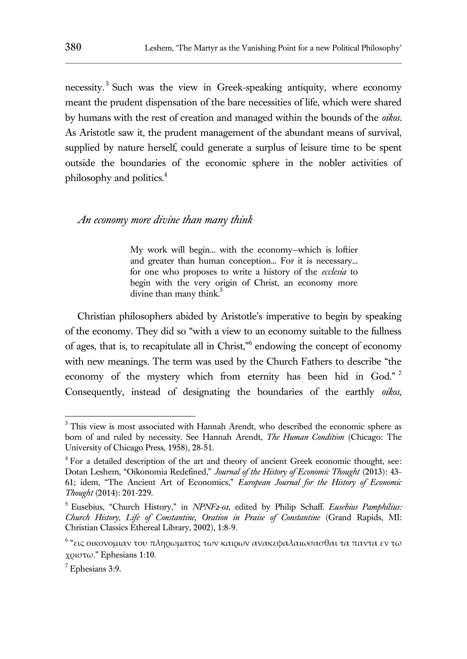necessity.<sup>3</sup> Such was the view in Greek-speaking antiquity, where economy meant the prudent dispensation of the bare necessities of life, which were shared by humans with the rest of creation and managed within the bounds of the *oikos*. As Aristotle saw it, the prudent management of the abundant means of survival, supplied by nature herself, could generate a surplus of leisure time to be spent outside the boundaries of the economic sphere in the nobler activities of philosophy and politics.<sup>4</sup>

#### *An economy more divine than many think*

My work will begin... with the economy—which is loftier and greater than human conception... For it is necessary... for one who proposes to write a history of the *ecclesia* to begin with the very origin of Christ, an economy more divine than many think.<sup>5</sup>

Christian philosophers abided by Aristotle's imperative to begin by speaking of the economy. They did so "with a view to an economy suitable to the fullness of ages, that is, to recapitulate all in Christ,"<sup>6</sup> endowing the concept of economy with new meanings. The term was used by the Church Fathers to describe "the economy of the mystery which from eternity has been hid in God."<sup>7</sup> Consequently, instead of designating the boundaries of the earthly *oikos,* 

<sup>&</sup>lt;sup>3</sup> This view is most associated with Hannah Arendt, who described the economic sphere as born of and ruled by necessity. See Hannah Arendt, *The Human Condition* (Chicago: The University of Chicago Press, 1958), 28-51.

<sup>&</sup>lt;sup>4</sup> For a detailed description of the art and theory of ancient Greek economic thought, see: Dotan Leshem, "Oikonomia Redefined," *Journal of the History of Economic Thought* (2013): 43- 61; idem, "The Ancient Art of Economics," *European Journal for the History of Economic Thought* (2014): 201-229.

<sup>5</sup> Eusebius, "Church History," in *NPNF2-01*, edited by Philip Schaff*. Eusebius Pamphilius: Church History, Life of Constantine, Oration in Praise of Constantine* (Grand Rapids, MI: Christian Classics Ethereal Library, 2002), 1:8-9.

<sup>&</sup>lt;sup>6</sup> "εις οικονομιαν του πληρωματος των καιρων ανακεφαλαιωσασθαι τα παντα εν τω χριστω." Ephesians 1:10.

 $<sup>7</sup>$  Ephesians 3:9.</sup>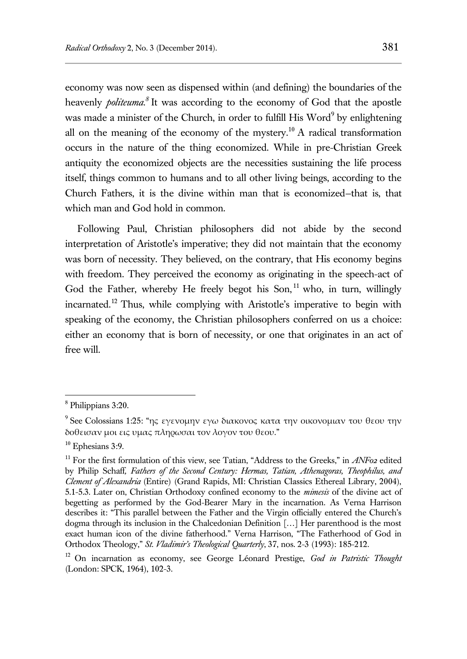economy was now seen as dispensed within (and defining) the boundaries of the heavenly *politeuma.<sup>8</sup>* It was according to the economy of God that the apostle was made a minister of the Church, in order to fulfill His Word<sup>9</sup> by enlightening all on the meaning of the economy of the mystery.<sup>10</sup> A radical transformation occurs in the nature of the thing economized. While in pre-Christian Greek antiquity the economized objects are the necessities sustaining the life process itself, things common to humans and to all other living beings, according to the Church Fathers, it is the divine within man that is economized—that is, that which man and God hold in common.

Following Paul, Christian philosophers did not abide by the second interpretation of Aristotle's imperative; they did not maintain that the economy was born of necessity. They believed, on the contrary, that His economy begins with freedom. They perceived the economy as originating in the speech-act of God the Father, whereby He freely begot his Son,  $11$  who, in turn, willingly incarnated.<sup>12</sup> Thus, while complying with Aristotle's imperative to begin with speaking of the economy, the Christian philosophers conferred on us a choice: either an economy that is born of necessity, or one that originates in an act of free will.

<sup>8</sup> Philippians 3:20.

 $^9$  See Colossians 1:25: "ης εγενομην εγω διακονος κατα την οικονομιαν του θεου την δοθεισαν μοι εις υμας πληρωσαι τον λογον του θεου."

 $10$  Ephesians 3:9.

<sup>&</sup>lt;sup>11</sup> For the first formulation of this view, see Tatian, "Address to the Greeks," in *ANF02* edited by Philip Schaff*, Fathers of the Second Century: Hermas, Tatian, Athenagoras, Theophilus, and Clement of Alexandria* (Entire) (Grand Rapids, MI: Christian Classics Ethereal Library, 2004), 5.1-5.3. Later on, Christian Orthodoxy confined economy to the *mimesis* of the divine act of begetting as performed by the God-Bearer Mary in the incarnation. As Verna Harrison describes it: "This parallel between the Father and the Virgin officially entered the Church's dogma through its inclusion in the Chalcedonian Definition […] Her parenthood is the most exact human icon of the divine fatherhood." Verna Harrison, "The Fatherhood of God in Orthodox Theology," *St. Vladimir's Theological Quarterly*, 37, nos. 2-3 (1993): 185-212.

<sup>12</sup> On incarnation as economy, see George Léonard Prestige, *God in Patristic Thought* (London: SPCK, 1964), 102-3.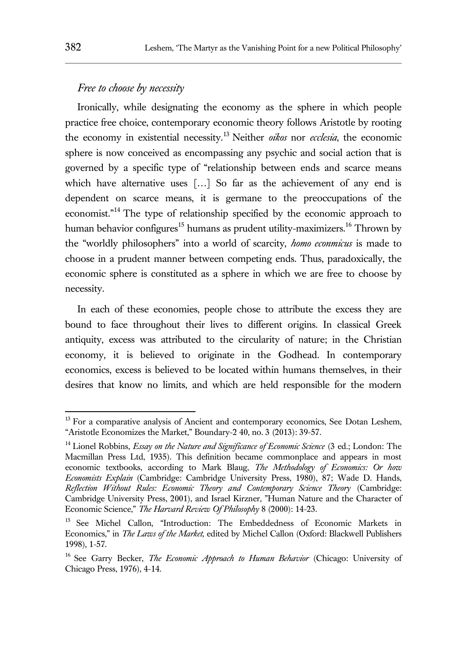# *Free to choose by necessity*

Ironically, while designating the economy as the sphere in which people practice free choice, contemporary economic theory follows Aristotle by rooting the economy in existential necessity.<sup>13</sup> Neither *oikos* nor *ecclesia*, the economic sphere is now conceived as encompassing any psychic and social action that is governed by a specific type of "relationship between ends and scarce means which have alternative uses [...] So far as the achievement of any end is dependent on scarce means, it is germane to the preoccupations of the economist."<sup>14</sup> The type of relationship specified by the economic approach to human behavior configures<sup>15</sup> humans as prudent utility-maximizers.<sup>16</sup> Thrown by the "worldly philosophers" into a world of scarcity, *homo econmicus* is made to choose in a prudent manner between competing ends. Thus, paradoxically, the economic sphere is constituted as a sphere in which we are free to choose by necessity.

In each of these economies, people chose to attribute the excess they are bound to face throughout their lives to different origins. In classical Greek antiquity, excess was attributed to the circularity of nature; in the Christian economy, it is believed to originate in the Godhead. In contemporary economics, excess is believed to be located within humans themselves, in their desires that know no limits, and which are held responsible for the modern

<sup>&</sup>lt;sup>13</sup> For a comparative analysis of Ancient and contemporary economics, See Dotan Leshem, "Aristotle Economizes the Market," Boundary-2 40, no. 3 (2013): 39-57.

<sup>14</sup> Lionel Robbins, *Essay on the Nature and Significance of Economic Science* (3 ed.; London: The Macmillan Press Ltd, 1935). This definition became commonplace and appears in most economic textbooks, according to Mark Blaug, *The Methodology of Economics: Or how Economists Explain* (Cambridge: Cambridge University Press, 1980), 87; Wade D. Hands, *Reflection Without Rules: Economic Theory and Contemporary Science Theory* (Cambridge: Cambridge University Press, 2001), and Israel Kirzner, "Human Nature and the Character of Economic Science," *The Harvard Review Of Philosophy* 8 (2000): 14-23.

<sup>&</sup>lt;sup>15</sup> See Michel Callon, "Introduction: The Embeddedness of Economic Markets in Economics," in *The Laws of the Market,* edited by Michel Callon (Oxford: Blackwell Publishers 1998), 1-57.

<sup>16</sup> See Garry Becker, *The Economic Approach to Human Behavior* (Chicago: University of Chicago Press, 1976), 4-14.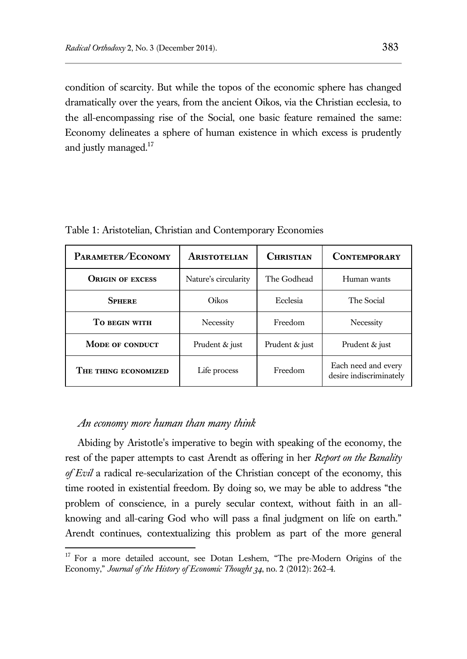condition of scarcity. But while the topos of the economic sphere has changed dramatically over the years, from the ancient Oikos, via the Christian ecclesia, to the all-encompassing rise of the Social, one basic feature remained the same: Economy delineates a sphere of human existence in which excess is prudently and justly managed.<sup>17</sup>

| PARAMETER/ECONOMY       | <b>ARISTOTELIAN</b>  | <b>CHRISTIAN</b> | <b>CONTEMPORARY</b>                            |
|-------------------------|----------------------|------------------|------------------------------------------------|
| <b>ORIGIN OF EXCESS</b> | Nature's circularity | The Godhead      | Human wants                                    |
| <b>SPHERE</b>           | Oikos                | Ecclesia         | The Social                                     |
| TO BEGIN WITH           | Necessity            | Freedom          | Necessity                                      |
| <b>MODE OF CONDUCT</b>  | Prudent & just       | Prudent & just   | Prudent & just                                 |
| THE THING ECONOMIZED    | Life process         | Freedom          | Each need and every<br>desire indiscriminately |

Table 1: Aristotelian, Christian and Contemporary Economies

## *An economy more human than many think*

 $\overline{a}$ 

Abiding by Aristotle's imperative to begin with speaking of the economy, the rest of the paper attempts to cast Arendt as offering in her *Report on the Banality of Evil* a radical re-secularization of the Christian concept of the economy, this time rooted in existential freedom. By doing so, we may be able to address "the problem of conscience, in a purely secular context, without faith in an allknowing and all-caring God who will pass a final judgment on life on earth." Arendt continues, contextualizing this problem as part of the more general

<sup>&</sup>lt;sup>17</sup> For a more detailed account, see Dotan Leshem, "The pre-Modern Origins of the Economy," *Journal of the History of Economic Thought 34*, no. 2 (2012): 262-4.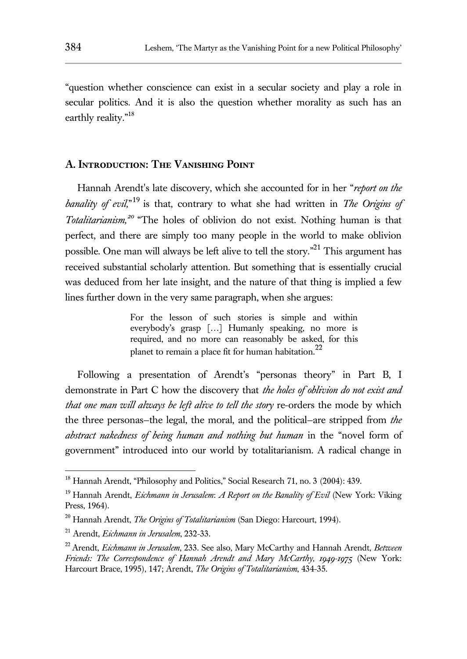"question whether conscience can exist in a secular society and play a role in secular politics. And it is also the question whether morality as such has an earthly reality."<sup>18</sup>

## **A. Introduction: The Vanishing Point**

Hannah Arendt's late discovery, which she accounted for in her "*report on the banality of evil,*" <sup>19</sup> is that, contrary to what she had written in *The Origins of Totalitarianism,<sup>20</sup>* "The holes of oblivion do not exist. Nothing human is that perfect, and there are simply too many people in the world to make oblivion possible. One man will always be left alive to tell the story."<sup>21</sup> This argument has received substantial scholarly attention. But something that is essentially crucial was deduced from her late insight, and the nature of that thing is implied a few lines further down in the very same paragraph, when she argues:

> For the lesson of such stories is simple and within everybody's grasp […] Humanly speaking, no more is required, and no more can reasonably be asked, for this planet to remain a place fit for human habitation.<sup>22</sup>

Following a presentation of Arendt's "personas theory" in Part B, I demonstrate in Part C how the discovery that *the holes of oblivion do not exist and that one man will always be left alive to tell the story* re-orders the mode by which the three personas—the legal, the moral, and the political—are stripped from *the abstract nakedness of being human and nothing but human* in the "novel form of government" introduced into our world by totalitarianism. A radical change in

<sup>&</sup>lt;sup>18</sup> Hannah Arendt, "Philosophy and Politics," Social Research 71, no. 3 (2004): 439.

<sup>19</sup> Hannah Arendt, *Eichmann in Jerusalem*: *A Report on the Banality of Evil* (New York: Viking Press, 1964).

<sup>20</sup> Hannah Arendt, *The Origins of Totalitarianism* (San Diego: Harcourt, 1994).

<sup>21</sup> Arendt, *Eichmann in Jerusalem*, 232-33.

<sup>22</sup> Arendt, *Eichmann in Jerusalem*, 233. See also, Mary McCarthy and Hannah Arendt, *Between Friends: The Correspondence of Hannah Arendt and Mary McCarthy, 1949-1975* (New York: Harcourt Brace, 1995), 147; Arendt, *The Origins of Totalitarianism*, 434-35.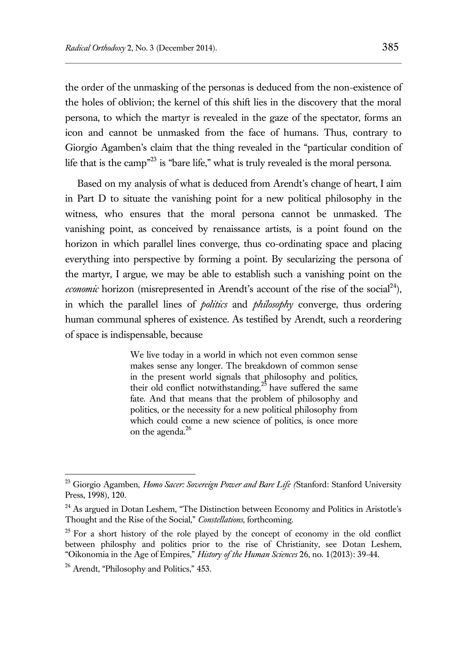the order of the unmasking of the personas is deduced from the non-existence of the holes of oblivion; the kernel of this shift lies in the discovery that the moral persona, to which the martyr is revealed in the gaze of the spectator, forms an icon and cannot be unmasked from the face of humans. Thus, contrary to Giorgio Agamben's claim that the thing revealed in the "particular condition of life that is the camp"<sup>23</sup> is "bare life," what is truly revealed is the moral persona.

Based on my analysis of what is deduced from Arendt's change of heart, I aim in Part D to situate the vanishing point for a new political philosophy in the witness, who ensures that the moral persona cannot be unmasked. The vanishing point, as conceived by renaissance artists, is a point found on the horizon in which parallel lines converge, thus co-ordinating space and placing everything into perspective by forming a point. By secularizing the persona of the martyr, I argue, we may be able to establish such a vanishing point on the *economic* horizon (misrepresented in Arendt's account of the rise of the social<sup>24</sup>), in which the parallel lines of *politics* and *philosophy* converge, thus ordering human communal spheres of existence. As testified by Arendt, such a reordering of space is indispensable, because

> We live today in a world in which not even common sense makes sense any longer. The breakdown of common sense in the present world signals that philosophy and politics, their old conflict notwithstanding,<sup>25</sup> have suffered the same fate. And that means that the problem of philosophy and politics, or the necessity for a new political philosophy from which could come a new science of politics, is once more on the agenda.<sup>26</sup>

<sup>23</sup> Giorgio Agamben, *Homo Sacer: Sovereign Power and Bare Life (*Stanford: Stanford University Press, 1998), 120.

<sup>&</sup>lt;sup>24</sup> As argued in Dotan Leshem, "The Distinction between Economy and Politics in Aristotle's Thought and the Rise of the Social," *Constellations*, forthcoming.

<sup>&</sup>lt;sup>25</sup> For a short history of the role played by the concept of economy in the old conflict between philosphy and politics prior to the rise of Christianity, see Dotan Leshem, "Oikonomia in the Age of Empires," *History of the Human Sciences* 26, no. 1(2013): 39-44.

<sup>26</sup> Arendt, "Philosophy and Politics," 453*.*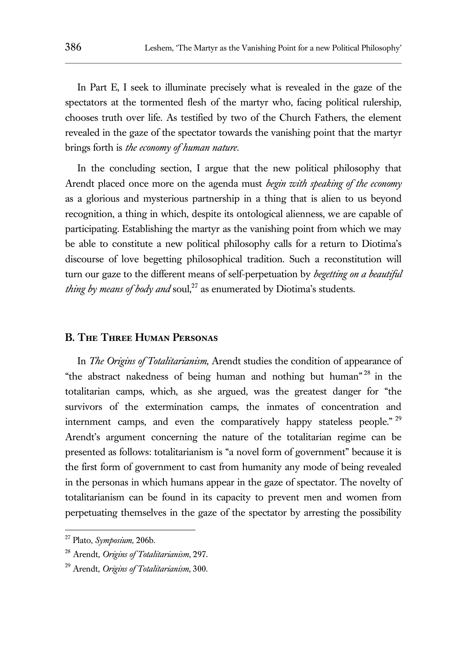In Part E, I seek to illuminate precisely what is revealed in the gaze of the spectators at the tormented flesh of the martyr who, facing political rulership, chooses truth over life. As testified by two of the Church Fathers, the element revealed in the gaze of the spectator towards the vanishing point that the martyr brings forth is *the economy of human nature*.

In the concluding section, I argue that the new political philosophy that Arendt placed once more on the agenda must *begin with speaking of the economy* as a glorious and mysterious partnership in a thing that is alien to us beyond recognition, a thing in which, despite its ontological alienness, we are capable of participating. Establishing the martyr as the vanishing point from which we may be able to constitute a new political philosophy calls for a return to Diotima's discourse of love begetting philosophical tradition. Such a reconstitution will turn our gaze to the different means of self-perpetuation by *begetting on a beautiful thing by means of body and* soul,<sup>27</sup> as enumerated by Diotima's students.

## **B. The Three Human Personas**

In *The Origins of Totalitarianism,* Arendt studies the condition of appearance of "the abstract nakedness of being human and nothing but human" <sup>28</sup> in the totalitarian camps, which, as she argued, was the greatest danger for "the survivors of the extermination camps, the inmates of concentration and internment camps, and even the comparatively happy stateless people." <sup>29</sup> Arendt's argument concerning the nature of the totalitarian regime can be presented as follows: totalitarianism is "a novel form of government" because it is the first form of government to cast from humanity any mode of being revealed in the personas in which humans appear in the gaze of spectator. The novelty of totalitarianism can be found in its capacity to prevent men and women from perpetuating themselves in the gaze of the spectator by arresting the possibility

<sup>27</sup> Plato, *Symposium,* 206b.

<sup>28</sup> Arendt, *Origins of Totalitarianism*, 297.

<sup>29</sup> Arendt, *Origins of Totalitarianism*, 300.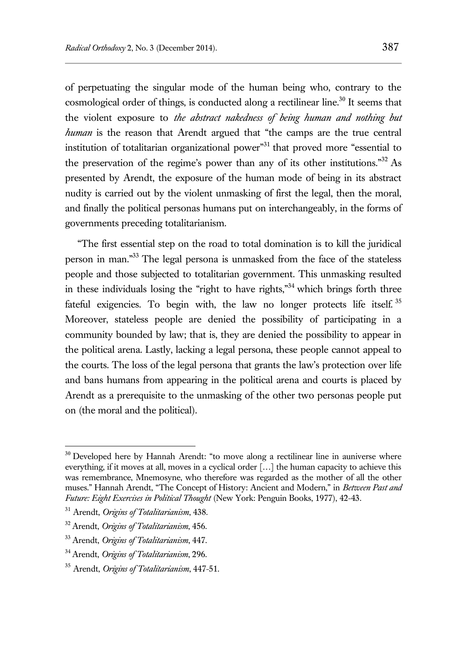of perpetuating the singular mode of the human being who, contrary to the cosmological order of things, is conducted along a rectilinear line.<sup>30</sup> It seems that the violent exposure to *the abstract nakedness of being human and nothing but human* is the reason that Arendt argued that "the camps are the true central institution of totalitarian organizational power<sup> $31$ </sup> that proved more "essential to the preservation of the regime's power than any of its other institutions."<sup>32</sup> As presented by Arendt, the exposure of the human mode of being in its abstract nudity is carried out by the violent unmasking of first the legal, then the moral, and finally the political personas humans put on interchangeably, in the forms of governments preceding totalitarianism.

"The first essential step on the road to total domination is to kill the juridical person in man."<sup>33</sup> The legal persona is unmasked from the face of the stateless people and those subjected to totalitarian government. This unmasking resulted in these individuals losing the "right to have rights,"<sup>34</sup> which brings forth three fateful exigencies. To begin with, the law no longer protects life itself.<sup>35</sup> Moreover, stateless people are denied the possibility of participating in a community bounded by law; that is, they are denied the possibility to appear in the political arena. Lastly, lacking a legal persona, these people cannot appeal to the courts. The loss of the legal persona that grants the law's protection over life and bans humans from appearing in the political arena and courts is placed by Arendt as a prerequisite to the unmasking of the other two personas people put on (the moral and the political).

<sup>&</sup>lt;sup>30</sup> Developed here by Hannah Arendt: "to move along a rectilinear line in auniverse where everything, if it moves at all, moves in a cyclical order […] the human capacity to achieve this was remembrance, Mnemosyne, who therefore was regarded as the mother of all the other muses." Hannah Arendt, "The Concept of History: Ancient and Modern," in *Between Past and Future: Eight Exercises in Political Thought* (New York: Penguin Books, 1977), 42-43.

<sup>31</sup> Arendt, *Origins of Totalitarianism*, 438.

<sup>32</sup> Arendt, *Origins of Totalitarianism*, 456.

<sup>33</sup> Arendt, *Origins of Totalitarianism*, 447.

<sup>34</sup> Arendt, *Origins of Totalitarianism*, 296.

<sup>35</sup> Arendt, *Origins of Totalitarianism*, 447-51.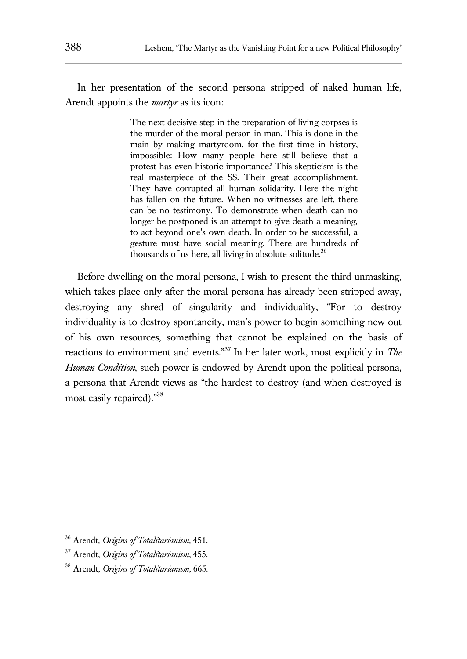In her presentation of the second persona stripped of naked human life, Arendt appoints the *martyr* as its icon:

> The next decisive step in the preparation of living corpses is the murder of the moral person in man. This is done in the main by making martyrdom, for the first time in history, impossible: How many people here still believe that a protest has even historic importance? This skepticism is the real masterpiece of the SS. Their great accomplishment. They have corrupted all human solidarity. Here the night has fallen on the future. When no witnesses are left, there can be no testimony. To demonstrate when death can no longer be postponed is an attempt to give death a meaning, to act beyond one's own death. In order to be successful, a gesture must have social meaning. There are hundreds of thousands of us here, all living in absolute solitude.<sup>36</sup>

Before dwelling on the moral persona, I wish to present the third unmasking, which takes place only after the moral persona has already been stripped away, destroying any shred of singularity and individuality, "For to destroy individuality is to destroy spontaneity, man's power to begin something new out of his own resources, something that cannot be explained on the basis of reactions to environment and events."<sup>37</sup> In her later work, most explicitly in *The Human Condition*, such power is endowed by Arendt upon the political persona, a persona that Arendt views as "the hardest to destroy (and when destroyed is most easily repaired)."<sup>38</sup>

<sup>36</sup> Arendt, *Origins of Totalitarianism*, 451.

<sup>37</sup> Arendt, *Origins of Totalitarianism*, 455.

<sup>38</sup> Arendt, *Origins of Totalitarianism*, 665.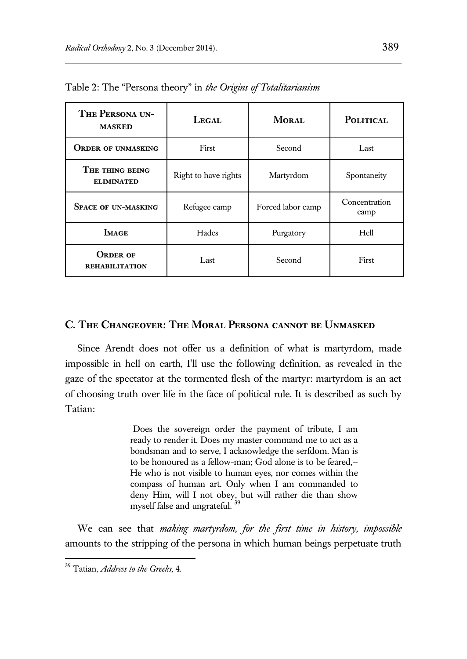| THE PERSONA UN-<br><b>MASKED</b>         | LEGAL                | MORAL             | <b>POLITICAL</b>      |
|------------------------------------------|----------------------|-------------------|-----------------------|
| <b>ORDER OF UNMASKING</b>                | First                | Second            | Last                  |
| THE THING BEING<br><b>ELIMINATED</b>     | Right to have rights | Martyrdom         | Spontaneity           |
| <b>SPACE OF UN-MASKING</b>               | Refugee camp         | Forced labor camp | Concentration<br>camp |
| <b>IMAGE</b>                             | Hades                | Purgatory         | Hell                  |
| <b>ORDER OF</b><br><b>REHABILITATION</b> | Last                 | Second            | First                 |

Table 2: The "Persona theory" in *the Origins of Totalitarianism*

### **C. The Changeover: The Moral Persona cannot be Unmasked**

Since Arendt does not offer us a definition of what is martyrdom, made impossible in hell on earth, I'll use the following definition, as revealed in the gaze of the spectator at the tormented flesh of the martyr: martyrdom is an act of choosing truth over life in the face of political rule. It is described as such by Tatian:

> Does the sovereign order the payment of tribute, I am ready to render it. Does my master command me to act as a bondsman and to serve, I acknowledge the serfdom. Man is to be honoured as a fellow-man; God alone is to be feared,— He who is not visible to human eyes, nor comes within the compass of human art. Only when I am commanded to deny Him, will I not obey, but will rather die than show myself false and ungrateful.

We can see that *making martyrdom, for the first time in history, impossible* amounts to the stripping of the persona in which human beings perpetuate truth

<sup>39</sup> Tatian, *Address to the Greeks*, 4.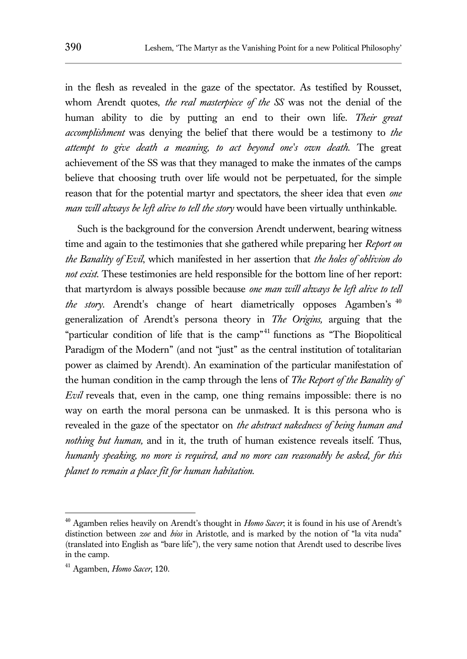in the flesh as revealed in the gaze of the spectator. As testified by Rousset, whom Arendt quotes, *the real masterpiece of the SS* was not the denial of the human ability to die by putting an end to their own life. *Their great accomplishment* was denying the belief that there would be a testimony to *the attempt to give death a meaning, to act beyond one's own death.* The great achievement of the SS was that they managed to make the inmates of the camps believe that choosing truth over life would not be perpetuated, for the simple reason that for the potential martyr and spectators, the sheer idea that even *one man will always be left alive to tell the story* would have been virtually unthinkable.

Such is the background for the conversion Arendt underwent, bearing witness time and again to the testimonies that she gathered while preparing her *Report on the Banality of Evil*, which manifested in her assertion that *the holes of oblivion do not exist*. These testimonies are held responsible for the bottom line of her report: that martyrdom is always possible because *one man will always be left alive to tell the story*. Arendt's change of heart diametrically opposes Agamben's 40 generalization of Arendt's persona theory in *The Origins,* arguing that the "particular condition of life that is the camp"<sup>41</sup> functions as "The Biopolitical Paradigm of the Modern" (and not "just" as the central institution of totalitarian power as claimed by Arendt). An examination of the particular manifestation of the human condition in the camp through the lens of *The Report of the Banality of Evil* reveals that, even in the camp, one thing remains impossible: there is no way on earth the moral persona can be unmasked. It is this persona who is revealed in the gaze of the spectator on *the abstract nakedness of being human and nothing but human,* and in it, the truth of human existence reveals itself. Thus, *humanly speaking, no more is required, and no more can reasonably be asked, for this planet to remain a place fit for human habitation.*

<sup>40</sup> Agamben relies heavily on Arendt's thought in *Homo Sacer*; it is found in his use of Arendt's distinction between *zoe* and *bios* in Aristotle, and is marked by the notion of "la vita nuda" (translated into English as "bare life"), the very same notion that Arendt used to describe lives in the camp.

<sup>41</sup> Agamben, *Homo Sacer*, 120.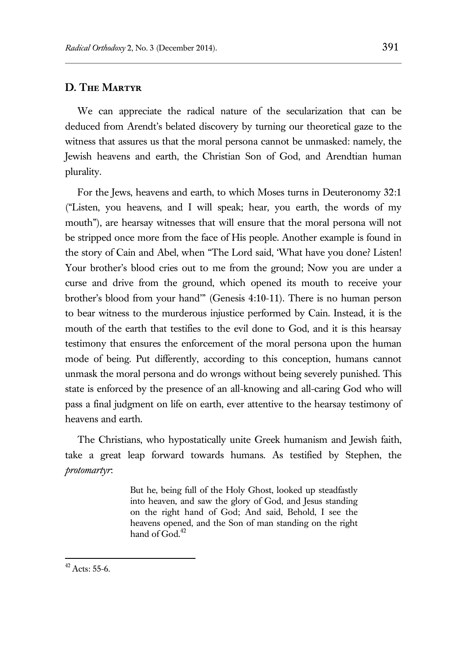## **D. The Martyr**

We can appreciate the radical nature of the secularization that can be deduced from Arendt's belated discovery by turning our theoretical gaze to the witness that assures us that the moral persona cannot be unmasked: namely, the Jewish heavens and earth, the Christian Son of God, and Arendtian human plurality.

For the Jews, heavens and earth, to which Moses turns in Deuteronomy 32:1 ("Listen, you heavens, and I will speak; hear, you earth, the words of my mouth"), are hearsay witnesses that will ensure that the moral persona will not be stripped once more from the face of His people. Another example is found in the story of Cain and Abel, when "The Lord said, 'What have you done? Listen! Your brother's blood cries out to me from the ground; Now you are under a curse and drive from the ground, which opened its mouth to receive your brother's blood from your hand'" (Genesis 4:10-11). There is no human person to bear witness to the murderous injustice performed by Cain. Instead, it is the mouth of the earth that testifies to the evil done to God, and it is this hearsay testimony that ensures the enforcement of the moral persona upon the human mode of being. Put differently, according to this conception, humans cannot unmask the moral persona and do wrongs without being severely punished. This state is enforced by the presence of an all-knowing and all-caring God who will pass a final judgment on life on earth, ever attentive to the hearsay testimony of heavens and earth.

The Christians, who hypostatically unite Greek humanism and Jewish faith, take a great leap forward towards humans. As testified by Stephen, the *protomartyr*:

> But he, being full of the Holy Ghost, looked up steadfastly into heaven, and saw the glory of God, and Jesus standing on the right hand of God; And said, Behold, I see the heavens opened, and the Son of man standing on the right hand of  $Good.<sup>42</sup>$

 $42$  Acts: 55-6.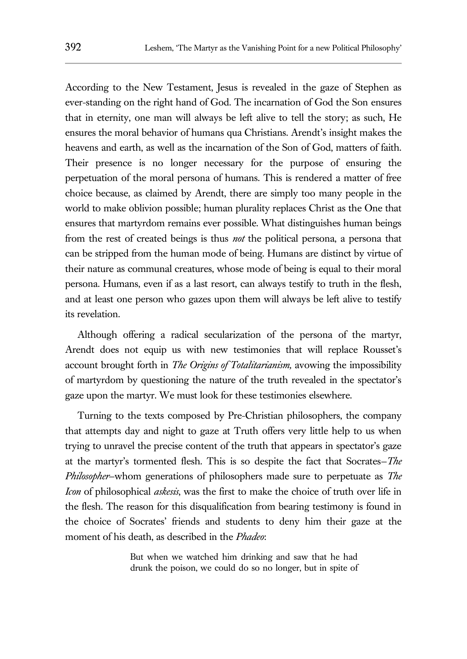According to the New Testament, Jesus is revealed in the gaze of Stephen as ever-standing on the right hand of God. The incarnation of God the Son ensures that in eternity, one man will always be left alive to tell the story; as such, He ensures the moral behavior of humans qua Christians. Arendt's insight makes the heavens and earth, as well as the incarnation of the Son of God, matters of faith. Their presence is no longer necessary for the purpose of ensuring the perpetuation of the moral persona of humans. This is rendered a matter of free choice because, as claimed by Arendt, there are simply too many people in the world to make oblivion possible; human plurality replaces Christ as the One that ensures that martyrdom remains ever possible. What distinguishes human beings from the rest of created beings is thus *not* the political persona, a persona that can be stripped from the human mode of being. Humans are distinct by virtue of their nature as communal creatures, whose mode of being is equal to their moral persona. Humans, even if as a last resort, can always testify to truth in the flesh, and at least one person who gazes upon them will always be left alive to testify its revelation.

Although offering a radical secularization of the persona of the martyr, Arendt does not equip us with new testimonies that will replace Rousset's account brought forth in *The Origins of Totalitarianism,* avowing the impossibility of martyrdom by questioning the nature of the truth revealed in the spectator's gaze upon the martyr. We must look for these testimonies elsewhere.

Turning to the texts composed by Pre-Christian philosophers, the company that attempts day and night to gaze at Truth offers very little help to us when trying to unravel the precise content of the truth that appears in spectator's gaze at the martyr's tormented flesh. This is so despite the fact that Socrates—*The Philosopher*—whom generations of philosophers made sure to perpetuate as *The Icon* of philosophical *askesis*, was the first to make the choice of truth over life in the flesh. The reason for this disqualification from bearing testimony is found in the choice of Socrates' friends and students to deny him their gaze at the moment of his death, as described in the *Phadeo*:

> But when we watched him drinking and saw that he had drunk the poison, we could do so no longer, but in spite of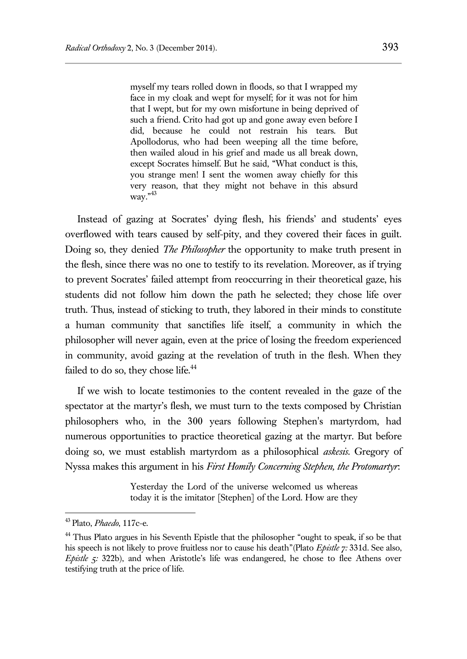myself my tears rolled down in floods, so that I wrapped my face in my cloak and wept for myself; for it was not for him that I wept, but for my own misfortune in being deprived of such a friend. Crito had got up and gone away even before I did, because he could not restrain his tears. But Apollodorus, who had been weeping all the time before, then wailed aloud in his grief and made us all break down, except Socrates himself. But he said, "What conduct is this, you strange men! I sent the women away chiefly for this very reason, that they might not behave in this absurd way."<sup>43</sup>

Instead of gazing at Socrates' dying flesh, his friends' and students' eyes overflowed with tears caused by self-pity, and they covered their faces in guilt. Doing so, they denied *The Philosopher* the opportunity to make truth present in the flesh, since there was no one to testify to its revelation. Moreover, as if trying to prevent Socrates' failed attempt from reoccurring in their theoretical gaze, his students did not follow him down the path he selected; they chose life over truth. Thus, instead of sticking to truth, they labored in their minds to constitute a human community that sanctifies life itself, a community in which the philosopher will never again, even at the price of losing the freedom experienced in community, avoid gazing at the revelation of truth in the flesh. When they failed to do so, they chose life.<sup>44</sup>

If we wish to locate testimonies to the content revealed in the gaze of the spectator at the martyr's flesh, we must turn to the texts composed by Christian philosophers who, in the 300 years following Stephen's martyrdom, had numerous opportunities to practice theoretical gazing at the martyr. But before doing so, we must establish martyrdom as a philosophical *askesis*. Gregory of Nyssa makes this argument in his *First Homily Concerning Stephen, the Protomartyr*:

> Yesterday the Lord of the universe welcomed us whereas today it is the imitator [Stephen] of the Lord. How are they

<sup>43</sup> Plato, *Phaedo*, 117c-e.

<sup>&</sup>lt;sup>44</sup> Thus Plato argues in his Seventh Epistle that the philosopher "ought to speak, if so be that his speech is not likely to prove fruitless nor to cause his death"(Plato *Epistle 7:* 331d. See also, *Epistle 5:* 322b), and when Aristotle's life was endangered, he chose to flee Athens over testifying truth at the price of life.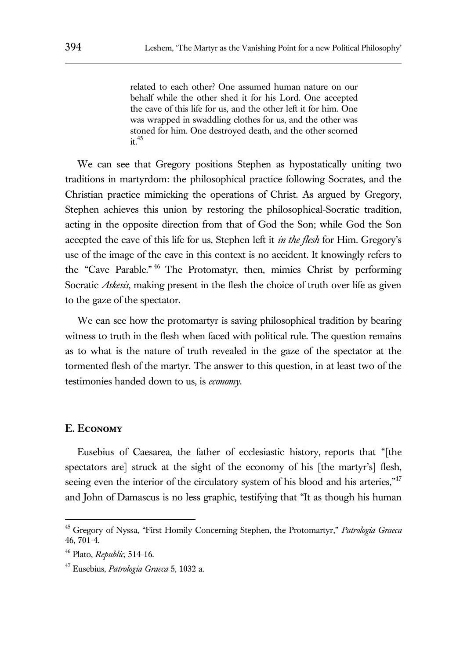related to each other? One assumed human nature on our behalf while the other shed it for his Lord. One accepted the cave of this life for us, and the other left it for him. One was wrapped in swaddling clothes for us, and the other was stoned for him. One destroyed death, and the other scorned  $\frac{1}{1}$   $\frac{45}{1}$ 

We can see that Gregory positions Stephen as hypostatically uniting two traditions in martyrdom: the philosophical practice following Socrates, and the Christian practice mimicking the operations of Christ. As argued by Gregory, Stephen achieves this union by restoring the philosophical-Socratic tradition, acting in the opposite direction from that of God the Son; while God the Son accepted the cave of this life for us, Stephen left it *in the flesh* for Him. Gregory's use of the image of the cave in this context is no accident. It knowingly refers to the "Cave Parable." <sup>46</sup> The Protomatyr, then, mimics Christ by performing Socratic *Askesis*, making present in the flesh the choice of truth over life as given to the gaze of the spectator.

We can see how the protomartyr is saving philosophical tradition by bearing witness to truth in the flesh when faced with political rule. The question remains as to what is the nature of truth revealed in the gaze of the spectator at the tormented flesh of the martyr. The answer to this question, in at least two of the testimonies handed down to us, is *economy*.

#### **E. Economy**

 $\overline{a}$ 

Eusebius of Caesarea, the father of ecclesiastic history, reports that "[the spectators are] struck at the sight of the economy of his [the martyr's] flesh, seeing even the interior of the circulatory system of his blood and his arteries,"<sup>47</sup> and John of Damascus is no less graphic, testifying that "It as though his human

<sup>45</sup> Gregory of Nyssa, "First Homily Concerning Stephen, the Protomartyr," *Patrologia Graeca* 46, 701-4.

<sup>46</sup> Plato, *Republic*, 514-16.

<sup>47</sup> Eusebius, *Patrologia Graeca* 5, 1032 a.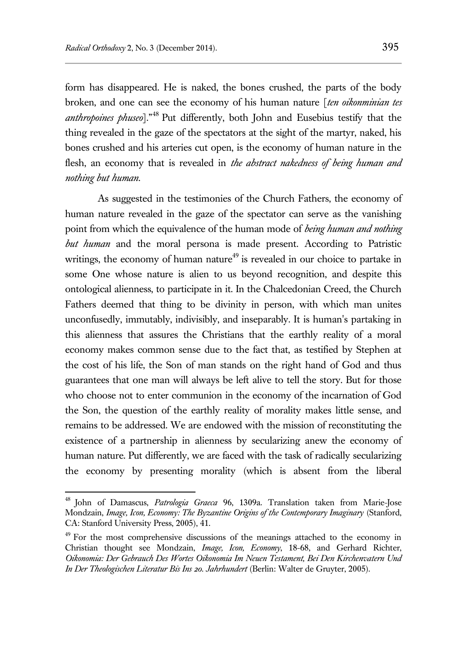$\overline{a}$ 

form has disappeared. He is naked, the bones crushed, the parts of the body broken, and one can see the economy of his human nature [*ten oikonminian tes anthropoines phuseo*]." <sup>48</sup> Put differently, both John and Eusebius testify that the thing revealed in the gaze of the spectators at the sight of the martyr, naked, his bones crushed and his arteries cut open, is the economy of human nature in the flesh, an economy that is revealed in *the abstract nakedness of being human and nothing but human*.

As suggested in the testimonies of the Church Fathers, the economy of human nature revealed in the gaze of the spectator can serve as the vanishing point from which the equivalence of the human mode of *being human and nothing but human* and the moral persona is made present. According to Patristic writings, the economy of human nature<sup> $49$ </sup> is revealed in our choice to partake in some One whose nature is alien to us beyond recognition, and despite this ontological alienness, to participate in it. In the Chalcedonian Creed, the Church Fathers deemed that thing to be divinity in person, with which man unites unconfusedly, immutably, indivisibly, and inseparably. It is human's partaking in this alienness that assures the Christians that the earthly reality of a moral economy makes common sense due to the fact that, as testified by Stephen at the cost of his life, the Son of man stands on the right hand of God and thus guarantees that one man will always be left alive to tell the story. But for those who choose not to enter communion in the economy of the incarnation of God the Son, the question of the earthly reality of morality makes little sense, and remains to be addressed. We are endowed with the mission of reconstituting the existence of a partnership in alienness by secularizing anew the economy of human nature. Put differently, we are faced with the task of radically secularizing the economy by presenting morality (which is absent from the liberal

<sup>48</sup> John of Damascus, *Patrologia Graeca* 96, 1309a. Translation taken from Marie-Jose Mondzain, *Image, Icon, Economy: The Byzantine Origins of the Contemporary Imaginary* (Stanford, CA: Stanford University Press, 2005), 41.

 $49$  For the most comprehensive discussions of the meanings attached to the economy in Christian thought see Mondzain, *Image, Icon, Economy*, 18-68, and Gerhard Richter, *Oikonomia: Der Gebrauch Des Wortes Oikonomia Im Neuen Testament, Bei Den Kirchenvatern Und In Der Theologischen Literatur Bis Ins 20. Jahrhundert* (Berlin: Walter de Gruyter, 2005).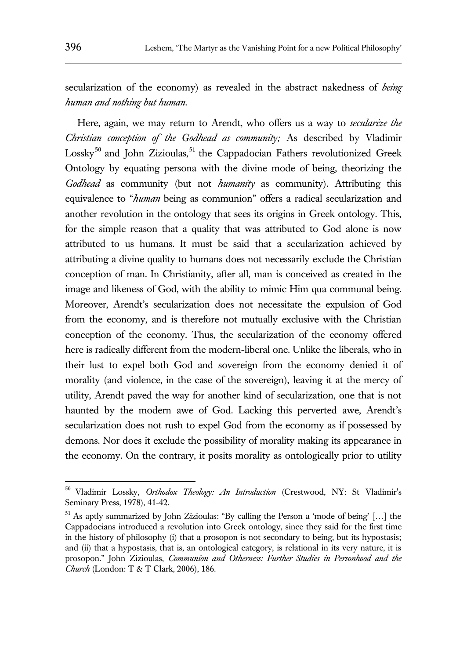secularization of the economy) as revealed in the abstract nakedness of *being human and nothing but human*.

Here, again, we may return to Arendt, who offers us a way to *secularize the Christian conception of the Godhead as community;* As described by Vladimir Lossky<sup>50</sup> and John Zizioulas,<sup>51</sup> the Cappadocian Fathers revolutionized Greek Ontology by equating persona with the divine mode of being, theorizing the *Godhead* as community (but not *humanity* as community). Attributing this equivalence to "*human* being as communion" offers a radical secularization and another revolution in the ontology that sees its origins in Greek ontology. This, for the simple reason that a quality that was attributed to God alone is now attributed to us humans. It must be said that a secularization achieved by attributing a divine quality to humans does not necessarily exclude the Christian conception of man. In Christianity, after all, man is conceived as created in the image and likeness of God, with the ability to mimic Him qua communal being. Moreover, Arendt's secularization does not necessitate the expulsion of God from the economy, and is therefore not mutually exclusive with the Christian conception of the economy. Thus, the secularization of the economy offered here is radically different from the modern-liberal one. Unlike the liberals, who in their lust to expel both God and sovereign from the economy denied it of morality (and violence, in the case of the sovereign), leaving it at the mercy of utility, Arendt paved the way for another kind of secularization, one that is not haunted by the modern awe of God. Lacking this perverted awe, Arendt's secularization does not rush to expel God from the economy as if possessed by demons. Nor does it exclude the possibility of morality making its appearance in the economy. On the contrary, it posits morality as ontologically prior to utility

<sup>50</sup> Vladimir Lossky, *Orthodox Theology: An Introduction* (Crestwood, NY: St Vladimir's Seminary Press, 1978), 41-42.

<sup>51</sup> As aptly summarized by John Zizioulas: "By calling the Person a 'mode of being' […] the Cappadocians introduced a revolution into Greek ontology, since they said for the first time in the history of philosophy (i) that a prosopon is not secondary to being, but its hypostasis; and (ii) that a hypostasis, that is, an ontological category, is relational in its very nature, it is prosopon." John Zizioulas, *Communion and Otherness: Further Studies in Personhood and the Church* (London: T & T Clark, 2006), 186.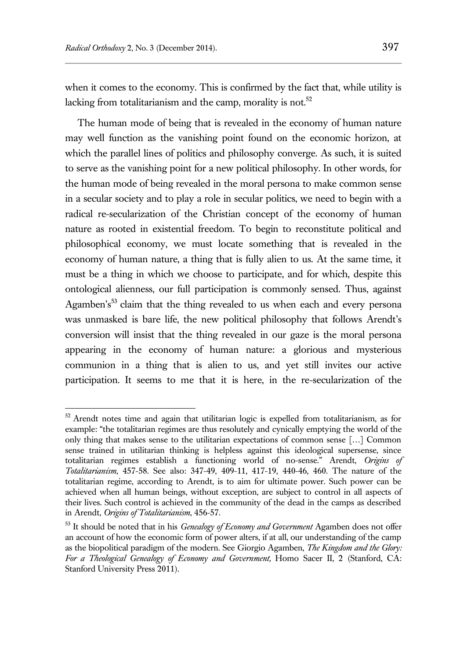$\overline{a}$ 

when it comes to the economy. This is confirmed by the fact that, while utility is lacking from totalitarianism and the camp, morality is not.<sup>52</sup>

The human mode of being that is revealed in the economy of human nature may well function as the vanishing point found on the economic horizon, at which the parallel lines of politics and philosophy converge. As such, it is suited to serve as the vanishing point for a new political philosophy. In other words, for the human mode of being revealed in the moral persona to make common sense in a secular society and to play a role in secular politics, we need to begin with a radical re-secularization of the Christian concept of the economy of human nature as rooted in existential freedom. To begin to reconstitute political and philosophical economy, we must locate something that is revealed in the economy of human nature, a thing that is fully alien to us. At the same time, it must be a thing in which we choose to participate, and for which, despite this ontological alienness, our full participation is commonly sensed. Thus, against Agamben's<sup>53</sup> claim that the thing revealed to us when each and every persona was unmasked is bare life, the new political philosophy that follows Arendt's conversion will insist that the thing revealed in our gaze is the moral persona appearing in the economy of human nature: a glorious and mysterious communion in a thing that is alien to us, and yet still invites our active participation. It seems to me that it is here, in the re-secularization of the

 $52$  Arendt notes time and again that utilitarian logic is expelled from totalitarianism, as for example: "the totalitarian regimes are thus resolutely and cynically emptying the world of the only thing that makes sense to the utilitarian expectations of common sense […] Common sense trained in utilitarian thinking is helpless against this ideological supersense, since totalitarian regimes establish a functioning world of no-sense." Arendt, *Origins of Totalitarianism*, 457-58. See also: 347-49, 409-11, 417-19, 440-46, 460. The nature of the totalitarian regime, according to Arendt, is to aim for ultimate power. Such power can be achieved when all human beings, without exception, are subject to control in all aspects of their lives. Such control is achieved in the community of the dead in the camps as described in Arendt, *Origins of Totalitarianism*, 456-57.

<sup>53</sup> It should be noted that in his *Genealogy of Economy and Government* Agamben does not offer an account of how the economic form of power alters, if at all, our understanding of the camp as the biopolitical paradigm of the modern. See Giorgio Agamben, *The Kingdom and the Glory: For a Theological Genealogy of Economy and Government,* Homo Sacer II, 2 (Stanford, CA: Stanford University Press 2011).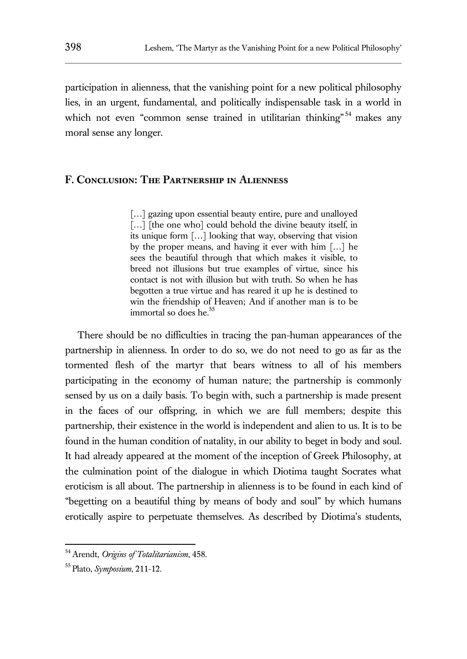participation in alienness, that the vanishing point for a new political philosophy lies, in an urgent, fundamental, and politically indispensable task in a world in which not even "common sense trained in utilitarian thinking"<sup>54</sup> makes any moral sense any longer.

# **F. Conclusion: The Partnership in Alienness**

[...] gazing upon essential beauty entire, pure and unalloyed [...] [the one who] could behold the divine beauty itself, in its unique form […] looking that way, observing that vision by the proper means, and having it ever with him […] he sees the beautiful through that which makes it visible, to breed not illusions but true examples of virtue, since his contact is not with illusion but with truth. So when he has begotten a true virtue and has reared it up he is destined to win the friendship of Heaven; And if another man is to be immortal so does he.<sup>55</sup>

There should be no difficulties in tracing the pan-human appearances of the partnership in alienness. In order to do so, we do not need to go as far as the tormented flesh of the martyr that bears witness to all of his members participating in the economy of human nature; the partnership is commonly sensed by us on a daily basis. To begin with, such a partnership is made present in the faces of our offspring, in which we are full members; despite this partnership, their existence in the world is independent and alien to us. It is to be found in the human condition of natality, in our ability to beget in body and soul. It had already appeared at the moment of the inception of Greek Philosophy, at the culmination point of the dialogue in which Diotima taught Socrates what eroticism is all about. The partnership in alienness is to be found in each kind of "begetting on a beautiful thing by means of body and soul" by which humans erotically aspire to perpetuate themselves. As described by Diotima's students,

<sup>54</sup> Arendt, *Origins of Totalitarianism*, 458.

<sup>55</sup> Plato, *Symposium*, 211-12.